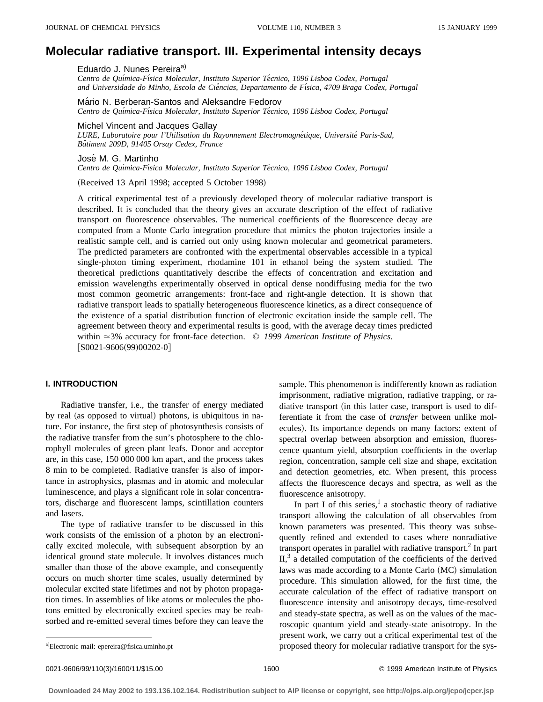# **Molecular radiative transport. III. Experimental intensity decays**

Eduardo J. Nunes Pereira<sup>a)</sup>

*Centro de Quı´mica-Fı´sica Molecular, Instituto Superior Te´cnico, 1096 Lisboa Codex, Portugal and Universidade do Minho, Escola de Cieˆncias, Departamento de Fı´sica, 4709 Braga Codex, Portugal*

Mário N. Berberan-Santos and Aleksandre Fedorov

*Centro de Quı´mica-Fı´sica Molecular, Instituto Superior Te´cnico, 1096 Lisboa Codex, Portugal*

Michel Vincent and Jacques Gallay

*LURE, Laboratoire pour l'Utilisation du Rayonnement Electromagne´tique, Universite´ Paris-Sud, Baˆtiment 209D, 91405 Orsay Cedex, France*

Jose´ M. G. Martinho *Centro de Quı´mica-Fı´sica Molecular, Instituto Superior Te´cnico, 1096 Lisboa Codex, Portugal*

(Received 13 April 1998; accepted 5 October 1998)

A critical experimental test of a previously developed theory of molecular radiative transport is described. It is concluded that the theory gives an accurate description of the effect of radiative transport on fluorescence observables. The numerical coefficients of the fluorescence decay are computed from a Monte Carlo integration procedure that mimics the photon trajectories inside a realistic sample cell, and is carried out only using known molecular and geometrical parameters. The predicted parameters are confronted with the experimental observables accessible in a typical single-photon timing experiment, rhodamine 101 in ethanol being the system studied. The theoretical predictions quantitatively describe the effects of concentration and excitation and emission wavelengths experimentally observed in optical dense nondiffusing media for the two most common geometric arrangements: front-face and right-angle detection. It is shown that radiative transport leads to spatially heterogeneous fluorescence kinetics, as a direct consequence of the existence of a spatial distribution function of electronic excitation inside the sample cell. The agreement between theory and experimental results is good, with the average decay times predicted within  $\approx$ 3% accuracy for front-face detection. © 1999 American Institute of Physics.  $[50021 - 9606(99)00202 - 0]$ 

## **I. INTRODUCTION**

Radiative transfer, i.e., the transfer of energy mediated by real (as opposed to virtual) photons, is ubiquitous in nature. For instance, the first step of photosynthesis consists of the radiative transfer from the sun's photosphere to the chlorophyll molecules of green plant leafs. Donor and acceptor are, in this case, 150 000 000 km apart, and the process takes 8 min to be completed. Radiative transfer is also of importance in astrophysics, plasmas and in atomic and molecular luminescence, and plays a significant role in solar concentrators, discharge and fluorescent lamps, scintillation counters and lasers.

The type of radiative transfer to be discussed in this work consists of the emission of a photon by an electronically excited molecule, with subsequent absorption by an identical ground state molecule. It involves distances much smaller than those of the above example, and consequently occurs on much shorter time scales, usually determined by molecular excited state lifetimes and not by photon propagation times. In assemblies of like atoms or molecules the photons emitted by electronically excited species may be reabsorbed and re-emitted several times before they can leave the

sample. This phenomenon is indifferently known as radiation imprisonment, radiative migration, radiative trapping, or radiative transport (in this latter case, transport is used to differentiate it from the case of *transfer* between unlike molecules). Its importance depends on many factors: extent of spectral overlap between absorption and emission, fluorescence quantum yield, absorption coefficients in the overlap region, concentration, sample cell size and shape, excitation and detection geometries, etc. When present, this process affects the fluorescence decays and spectra, as well as the fluorescence anisotropy.

In part I of this series, $\frac{1}{1}$  a stochastic theory of radiative transport allowing the calculation of all observables from known parameters was presented. This theory was subsequently refined and extended to cases where nonradiative transport operates in parallel with radiative transport.2 In part  $II$ ,<sup>3</sup> a detailed computation of the coefficients of the derived laws was made according to a Monte Carlo (MC) simulation procedure. This simulation allowed, for the first time, the accurate calculation of the effect of radiative transport on fluorescence intensity and anisotropy decays, time-resolved and steady-state spectra, as well as on the values of the macroscopic quantum yield and steady-state anisotropy. In the present work, we carry out a critical experimental test of the proposed theory for molecular radiative transport for the sys-

Electronic mail: epereira@fisica.uminho.pt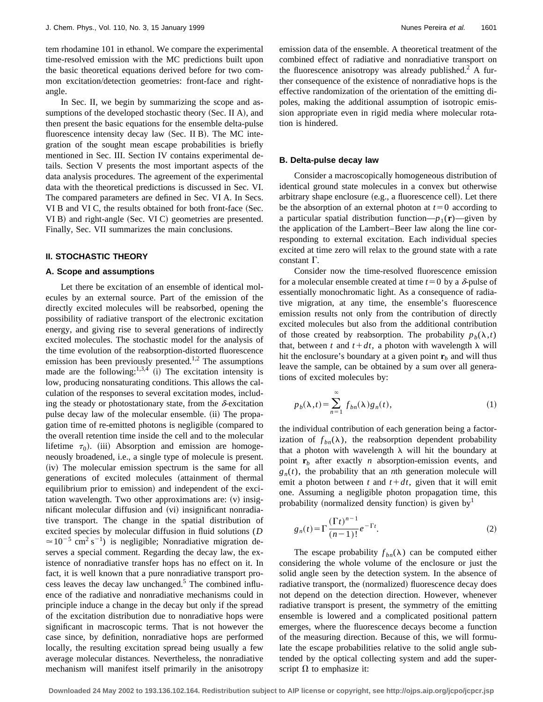tem rhodamine 101 in ethanol. We compare the experimental time-resolved emission with the MC predictions built upon the basic theoretical equations derived before for two common excitation/detection geometries: front-face and rightangle.

In Sec. II, we begin by summarizing the scope and assumptions of the developed stochastic theory (Sec. II A), and then present the basic equations for the ensemble delta-pulse fluorescence intensity decay law  $(Sec. II B)$ . The MC integration of the sought mean escape probabilities is briefly mentioned in Sec. III. Section IV contains experimental details. Section V presents the most important aspects of the data analysis procedures. The agreement of the experimental data with the theoretical predictions is discussed in Sec. VI. The compared parameters are defined in Sec. VI A. In Secs. VI B and VI C, the results obtained for both front-face (Sec. VI B) and right-angle (Sec. VI C) geometries are presented. Finally, Sec. VII summarizes the main conclusions.

### **II. STOCHASTIC THEORY**

## **A. Scope and assumptions**

Let there be excitation of an ensemble of identical molecules by an external source. Part of the emission of the directly excited molecules will be reabsorbed, opening the possibility of radiative transport of the electronic excitation energy, and giving rise to several generations of indirectly excited molecules. The stochastic model for the analysis of the time evolution of the reabsorption-distorted fluorescence emission has been previously presented.<sup>1,2</sup> The assumptions made are the following:  $^{1,3,4'}$  (i) The excitation intensity is low, producing nonsaturating conditions. This allows the calculation of the responses to several excitation modes, including the steady or photostationary state, from the  $\delta$ -excitation pulse decay law of the molecular ensemble. (ii) The propagation time of re-emitted photons is negligible (compared to the overall retention time inside the cell and to the molecular lifetime  $\tau_0$ ). (iii) Absorption and emission are homogeneously broadened, i.e., a single type of molecule is present. (iv) The molecular emission spectrum is the same for all generations of excited molecules (attainment of thermal equilibrium prior to emission) and independent of the excitation wavelength. Two other approximations are:  $(v)$  insignificant molecular diffusion and (vi) insignificant nonradiative transport. The change in the spatial distribution of excited species by molecular diffusion in fluid solutions (*D*  $\approx$  10<sup>-5</sup> cm<sup>2</sup> s<sup>-1</sup>) is negligible; Nonradiative migration deserves a special comment. Regarding the decay law, the existence of nonradiative transfer hops has no effect on it. In fact, it is well known that a pure nonradiative transport process leaves the decay law unchanged.<sup>5</sup> The combined influence of the radiative and nonradiative mechanisms could in principle induce a change in the decay but only if the spread of the excitation distribution due to nonradiative hops were significant in macroscopic terms. That is not however the case since, by definition, nonradiative hops are performed locally, the resulting excitation spread being usually a few average molecular distances. Nevertheless, the nonradiative mechanism will manifest itself primarily in the anisotropy emission data of the ensemble. A theoretical treatment of the combined effect of radiative and nonradiative transport on the fluorescence anisotropy was already published.<sup>2</sup> A further consequence of the existence of nonradiative hops is the effective randomization of the orientation of the emitting dipoles, making the additional assumption of isotropic emission appropriate even in rigid media where molecular rotation is hindered.

## **B. Delta-pulse decay law**

Consider a macroscopically homogeneous distribution of identical ground state molecules in a convex but otherwise arbitrary shape enclosure  $(e.g., a$  fluorescence cell). Let there be the absorption of an external photon at  $t=0$  according to a particular spatial distribution function— $p_1(\mathbf{r})$ —given by the application of the Lambert–Beer law along the line corresponding to external excitation. Each individual species excited at time zero will relax to the ground state with a rate constant  $\Gamma$ .

Consider now the time-resolved fluorescence emission for a molecular ensemble created at time  $t=0$  by a  $\delta$ -pulse of essentially monochromatic light. As a consequence of radiative migration, at any time, the ensemble's fluorescence emission results not only from the contribution of directly excited molecules but also from the additional contribution of those created by reabsorption. The probability  $p_b(\lambda,t)$ that, between *t* and  $t + dt$ , a photon with wavelength  $\lambda$  will hit the enclosure's boundary at a given point  $\mathbf{r}_b$  and will thus leave the sample, can be obtained by a sum over all generations of excited molecules by:

$$
p_b(\lambda, t) = \sum_{n=1}^{\infty} f_{bn}(\lambda) g_n(t),
$$
\n(1)

the individual contribution of each generation being a factorization of  $f_{bn}(\lambda)$ , the reabsorption dependent probability that a photon with wavelength  $\lambda$  will hit the boundary at point  $\mathbf{r}_b$  after exactly *n* absorption-emission events, and  $g_n(t)$ , the probability that an *n*th generation molecule will emit a photon between  $t$  and  $t + dt$ , given that it will emit one. Assuming a negligible photon propagation time, this probability (normalized density function) is given by<sup>1</sup>

$$
g_n(t) = \Gamma \frac{(\Gamma t)^{n-1}}{(n-1)!} e^{-\Gamma t}.
$$
 (2)

The escape probability  $f_{bn}(\lambda)$  can be computed either considering the whole volume of the enclosure or just the solid angle seen by the detection system. In the absence of radiative transport, the (normalized) fluorescence decay does not depend on the detection direction. However, whenever radiative transport is present, the symmetry of the emitting ensemble is lowered and a complicated positional pattern emerges, where the fluorescence decays become a function of the measuring direction. Because of this, we will formulate the escape probabilities relative to the solid angle subtended by the optical collecting system and add the superscript  $\Omega$  to emphasize it: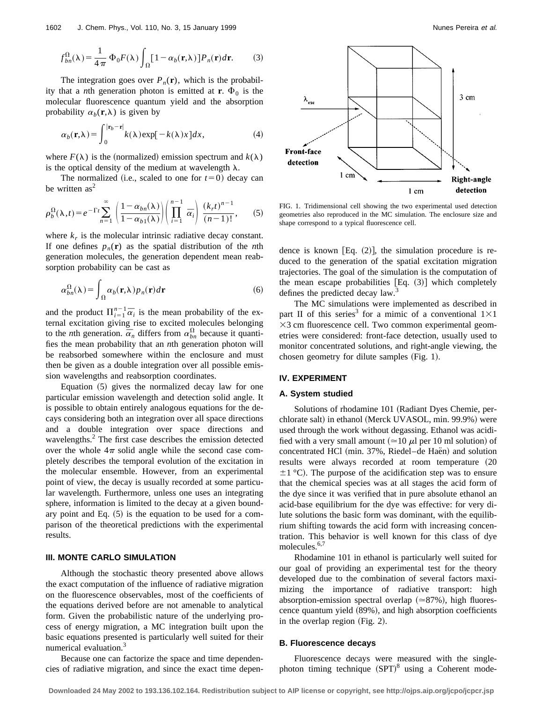$$
f_{bn}^{\Omega}(\lambda) = \frac{1}{4\pi} \Phi_0 F(\lambda) \int_{\Omega} [1 - \alpha_b(\mathbf{r}, \lambda)] P_n(\mathbf{r}) d\mathbf{r}.
$$
 (3)

The integration goes over  $P_n(\mathbf{r})$ , which is the probability that a *n*th generation photon is emitted at **r**.  $\Phi_0$  is the molecular fluorescence quantum yield and the absorption probability  $\alpha_b(\mathbf{r},\lambda)$  is given by

$$
\alpha_b(\mathbf{r}, \lambda) = \int_0^{|\mathbf{r}_b - \mathbf{r}|} k(\lambda) \exp[-k(\lambda)x] dx, \tag{4}
$$

where  $F(\lambda)$  is the (normalized) emission spectrum and  $k(\lambda)$ is the optical density of the medium at wavelength  $\lambda$ .

The normalized (i.e., scaled to one for  $t=0$ ) decay can be written  $as^2$ 

$$
\rho_b^{\Omega}(\lambda, t) = e^{-\Gamma t} \sum_{n=1}^{\infty} \left( \frac{1 - \alpha_{bn}(\lambda)}{1 - \alpha_{b1}(\lambda)} \right) \left( \prod_{i=1}^{n-1} \overline{\alpha}_i \right) \frac{(k_r t)^{n-1}}{(n-1)!}, \qquad (5)
$$

where  $k_r$  is the molecular intrinsic radiative decay constant. If one defines  $p_n(r)$  as the spatial distribution of the *n*th generation molecules, the generation dependent mean reabsorption probability can be cast as

$$
\alpha_{bn}^{\Omega}(\lambda) = \int_{\Omega} \alpha_b(\mathbf{r}, \lambda) p_n(\mathbf{r}) d\mathbf{r}
$$
 (6)

and the product  $\prod_{i=1}^{n-1} \overline{\alpha}_i$  is the mean probability of the external excitation giving rise to excited molecules belonging to the *n*th generation.  $\bar{\alpha}_n$  differs from  $\alpha_{bn}^{\Omega}$  because it quantifies the mean probability that an *n*th generation photon will be reabsorbed somewhere within the enclosure and must then be given as a double integration over all possible emission wavelengths and reabsorption coordinates.

Equation  $(5)$  gives the normalized decay law for one particular emission wavelength and detection solid angle. It is possible to obtain entirely analogous equations for the decays considering both an integration over all space directions and a double integration over space directions and wavelengths.<sup>2</sup> The first case describes the emission detected over the whole  $4\pi$  solid angle while the second case completely describes the temporal evolution of the excitation in the molecular ensemble. However, from an experimental point of view, the decay is usually recorded at some particular wavelength. Furthermore, unless one uses an integrating sphere, information is limited to the decay at a given boundary point and Eq.  $(5)$  is the equation to be used for a comparison of the theoretical predictions with the experimental results.

# **III. MONTE CARLO SIMULATION**

Although the stochastic theory presented above allows the exact computation of the influence of radiative migration on the fluorescence observables, most of the coefficients of the equations derived before are not amenable to analytical form. Given the probabilistic nature of the underlying process of energy migration, a MC integration built upon the basic equations presented is particularly well suited for their numerical evaluation.<sup>3</sup>

Because one can factorize the space and time dependencies of radiative migration, and since the exact time depen-



FIG. 1. Tridimensional cell showing the two experimental used detection geometries also reproduced in the MC simulation. The enclosure size and shape correspond to a typical fluorescence cell.

dence is known [Eq.  $(2)$ ], the simulation procedure is reduced to the generation of the spatial excitation migration trajectories. The goal of the simulation is the computation of the mean escape probabilities  $[Eq. (3)]$  which completely defines the predicted decay law.<sup>3</sup>

The MC simulations were implemented as described in part II of this series<sup>3</sup> for a mimic of a conventional  $1\times1$  $\times$ 3 cm fluorescence cell. Two common experimental geometries were considered: front-face detection, usually used to monitor concentrated solutions, and right-angle viewing, the chosen geometry for dilute samples  $(Fig. 1)$ .

# **IV. EXPERIMENT**

# **A. System studied**

Solutions of rhodamine 101 (Radiant Dyes Chemie, perchlorate salt) in ethanol (Merck UVASOL, min. 99.9%) were used through the work without degassing. Ethanol was acidified with a very small amount ( $\simeq$ 10  $\mu$ l per 10 ml solution) of concentrated HCl (min. 37%, Riedel–de Haen) and solution results were always recorded at room temperature (20  $\pm 1$  °C). The purpose of the acidification step was to ensure that the chemical species was at all stages the acid form of the dye since it was verified that in pure absolute ethanol an acid-base equilibrium for the dye was effective: for very dilute solutions the basic form was dominant, with the equilibrium shifting towards the acid form with increasing concentration. This behavior is well known for this class of dye molecules.<sup>6,7</sup>

Rhodamine 101 in ethanol is particularly well suited for our goal of providing an experimental test for the theory developed due to the combination of several factors maximizing the importance of radiative transport: high absorption-emission spectral overlap  $(\approx 87\%)$ , high fluorescence quantum yield  $(89%)$ , and high absorption coefficients in the overlap region  $(Fig. 2)$ .

# **B. Fluorescence decays**

Fluorescence decays were measured with the singlephoton timing technique  $(SPT)^8$  using a Coherent mode-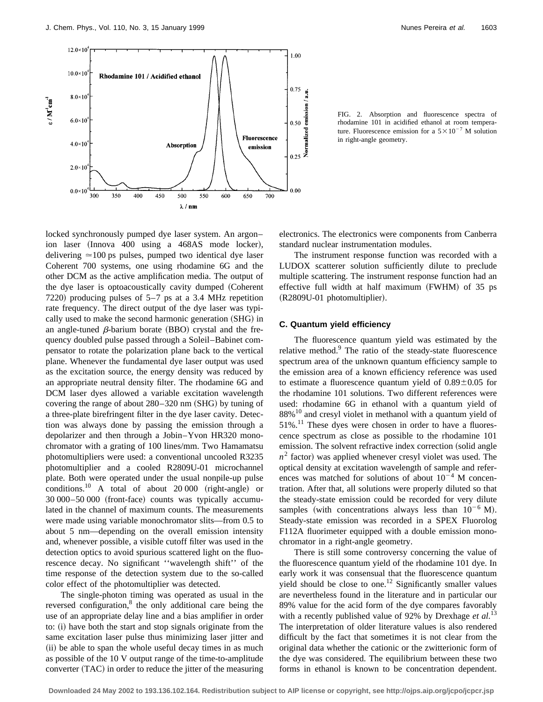

FIG. 2. Absorption and fluorescence spectra of rhodamine 101 in acidified ethanol at room temperature. Fluorescence emission for a  $5 \times 10^{-7}$  M solution in right-angle geometry.

locked synchronously pumped dye laser system. An argon– ion laser (Innova 400 using a 468AS mode locker), delivering  $\simeq$ 100 ps pulses, pumped two identical dye laser Coherent 700 systems, one using rhodamine 6G and the other DCM as the active amplification media. The output of the dye laser is optoacoustically cavity dumped (Coherent 7220) producing pulses of  $5-7$  ps at a 3.4 MHz repetition rate frequency. The direct output of the dye laser was typically used to make the second harmonic generation (SHG) in an angle-tuned  $\beta$ -barium borate (BBO) crystal and the frequency doubled pulse passed through a Soleil–Babinet compensator to rotate the polarization plane back to the vertical plane. Whenever the fundamental dye laser output was used as the excitation source, the energy density was reduced by an appropriate neutral density filter. The rhodamine 6G and DCM laser dyes allowed a variable excitation wavelength covering the range of about  $280-320$  nm (SHG) by tuning of a three-plate birefringent filter in the dye laser cavity. Detection was always done by passing the emission through a depolarizer and then through a Jobin–Yvon HR320 monochromator with a grating of 100 lines/mm. Two Hamamatsu photomultipliers were used: a conventional uncooled R3235 photomultiplier and a cooled R2809U-01 microchannel plate. Both were operated under the usual nonpile-up pulse conditions.<sup>10</sup> A total of about  $20\,000$  (right-angle) or  $30000-50000$  (front-face) counts was typically accumulated in the channel of maximum counts. The measurements were made using variable monochromator slits—from 0.5 to about 5 nm—depending on the overall emission intensity and, whenever possible, a visible cutoff filter was used in the detection optics to avoid spurious scattered light on the fluorescence decay. No significant ''wavelength shift'' of the time response of the detection system due to the so-called color effect of the photomultiplier was detected.

The single-photon timing was operated as usual in the reversed configuration, $8$  the only additional care being the use of an appropriate delay line and a bias amplifier in order to: (i) have both the start and stop signals originate from the same excitation laser pulse thus minimizing laser jitter and (ii) be able to span the whole useful decay times in as much as possible of the 10 V output range of the time-to-amplitude converter  $(TAC)$  in order to reduce the jitter of the measuring electronics. The electronics were components from Canberra standard nuclear instrumentation modules.

The instrument response function was recorded with a LUDOX scatterer solution sufficiently dilute to preclude multiple scattering. The instrument response function had an effective full width at half maximum  $(FWHM)$  of 35 ps (R2809U-01 photomultiplier).

#### **C. Quantum yield efficiency**

The fluorescence quantum yield was estimated by the relative method.<sup>9</sup> The ratio of the steady-state fluorescence spectrum area of the unknown quantum efficiency sample to the emission area of a known efficiency reference was used to estimate a fluorescence quantum yield of  $0.89\pm0.05$  for the rhodamine 101 solutions. Two different references were used: rhodamine 6G in ethanol with a quantum yield of  $88\%$ <sup>10</sup> and cresyl violet in methanol with a quantum yield of 51%.11 These dyes were chosen in order to have a fluorescence spectrum as close as possible to the rhodamine 101 emission. The solvent refractive index correction (solid angle  $n<sup>2</sup>$  factor) was applied whenever cresyl violet was used. The optical density at excitation wavelength of sample and references was matched for solutions of about  $10^{-4}$  M concentration. After that, all solutions were properly diluted so that the steady-state emission could be recorded for very dilute samples (with concentrations always less than  $10^{-6}$  M). Steady-state emission was recorded in a SPEX Fluorolog F112A fluorimeter equipped with a double emission monochromator in a right-angle geometry.

There is still some controversy concerning the value of the fluorescence quantum yield of the rhodamine 101 dye. In early work it was consensual that the fluorescence quantum yield should be close to one.<sup>12</sup> Significantly smaller values are nevertheless found in the literature and in particular our 89% value for the acid form of the dye compares favorably with a recently published value of 92% by Drexhage *et al.*<sup>13</sup> The interpretation of older literature values is also rendered difficult by the fact that sometimes it is not clear from the original data whether the cationic or the zwitterionic form of the dye was considered. The equilibrium between these two forms in ethanol is known to be concentration dependent.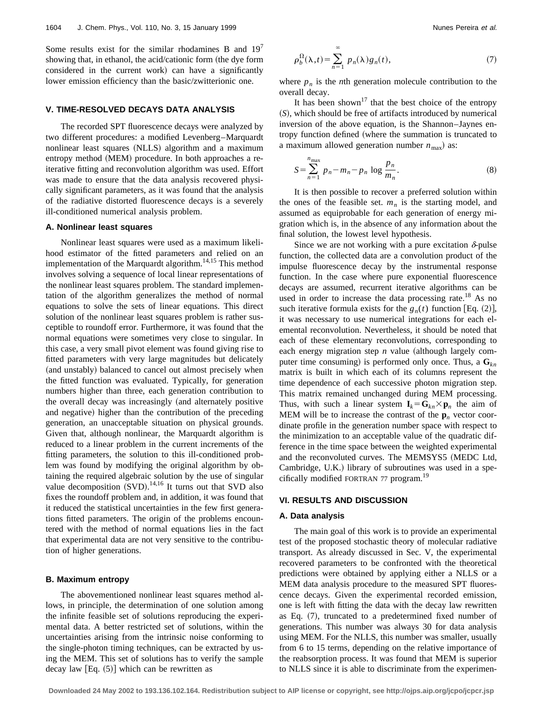Some results exist for the similar rhodamines B and  $19<sup>7</sup>$ showing that, in ethanol, the acid/cationic form (the dye form considered in the current work) can have a significantly lower emission efficiency than the basic/zwitterionic one.

## **V. TIME-RESOLVED DECAYS DATA ANALYSIS**

The recorded SPT fluorescence decays were analyzed by two different procedures: a modified Levenberg–Marquardt nonlinear least squares (NLLS) algorithm and a maximum entropy method (MEM) procedure. In both approaches a reiterative fitting and reconvolution algorithm was used. Effort was made to ensure that the data analysis recovered physically significant parameters, as it was found that the analysis of the radiative distorted fluorescence decays is a severely ill-conditioned numerical analysis problem.

#### **A. Nonlinear least squares**

Nonlinear least squares were used as a maximum likelihood estimator of the fitted parameters and relied on an implementation of the Marquardt algorithm.<sup>14,15</sup> This method involves solving a sequence of local linear representations of the nonlinear least squares problem. The standard implementation of the algorithm generalizes the method of normal equations to solve the sets of linear equations. This direct solution of the nonlinear least squares problem is rather susceptible to roundoff error. Furthermore, it was found that the normal equations were sometimes very close to singular. In this case, a very small pivot element was found giving rise to fitted parameters with very large magnitudes but delicately (and unstably) balanced to cancel out almost precisely when the fitted function was evaluated. Typically, for generation numbers higher than three, each generation contribution to the overall decay was increasingly (and alternately positive and negative) higher than the contribution of the preceding generation, an unacceptable situation on physical grounds. Given that, although nonlinear, the Marquardt algorithm is reduced to a linear problem in the current increments of the fitting parameters, the solution to this ill-conditioned problem was found by modifying the original algorithm by obtaining the required algebraic solution by the use of singular value decomposition  $(SVD)$ .<sup>14,16</sup> It turns out that SVD also fixes the roundoff problem and, in addition, it was found that it reduced the statistical uncertainties in the few first generations fitted parameters. The origin of the problems encountered with the method of normal equations lies in the fact that experimental data are not very sensitive to the contribution of higher generations.

#### **B. Maximum entropy**

The abovementioned nonlinear least squares method allows, in principle, the determination of one solution among the infinite feasible set of solutions reproducing the experimental data. A better restricted set of solutions, within the uncertainties arising from the intrinsic noise conforming to the single-photon timing techniques, can be extracted by using the MEM. This set of solutions has to verify the sample decay law  $[Eq. (5)]$  which can be rewritten as

$$
\rho_b^{\Omega}(\lambda, t) = \sum_{n=1}^{\infty} p_n(\lambda) g_n(t), \tag{7}
$$

where  $p_n$  is the *n*th generation molecule contribution to the overall decay.

It has been shown<sup>17</sup> that the best choice of the entropy ~*S*!, which should be free of artifacts introduced by numerical inversion of the above equation, is the Shannon–Jaynes entropy function defined (where the summation is truncated to a maximum allowed generation number  $n_{\text{max}}$ ) as:

$$
S = \sum_{n=1}^{n_{\text{max}}} p_n - m_n - p_n \log \frac{p_n}{m_n}.
$$
 (8)

It is then possible to recover a preferred solution within the ones of the feasible set.  $m<sub>n</sub>$  is the starting model, and assumed as equiprobable for each generation of energy migration which is, in the absence of any information about the final solution, the lowest level hypothesis.

Since we are not working with a pure excitation  $\delta$ -pulse function, the collected data are a convolution product of the impulse fluorescence decay by the instrumental response function. In the case where pure exponential fluorescence decays are assumed, recurrent iterative algorithms can be used in order to increase the data processing rate.<sup>18</sup> As no such iterative formula exists for the  $g_n(t)$  function [Eq. (2)], it was necessary to use numerical integrations for each elemental reconvolution. Nevertheless, it should be noted that each of these elementary reconvolutions, corresponding to each energy migration step  $n$  value (although largely computer time consuming) is performed only once. Thus, a  $\mathbf{G}_{k,n}$ matrix is built in which each of its columns represent the time dependence of each successive photon migration step. This matrix remained unchanged during MEM processing. Thus, with such a linear system  $I_k = G_{kn} \times p_n$  the aim of MEM will be to increase the contrast of the  $\mathbf{p}_n$  vector coordinate profile in the generation number space with respect to the minimization to an acceptable value of the quadratic difference in the time space between the weighted experimental and the reconvoluted curves. The MEMSYS5 (MEDC Ltd, Cambridge, U.K.) library of subroutines was used in a specifically modified FORTRAN 77 program.<sup>19</sup>

## **VI. RESULTS AND DISCUSSION**

## **A. Data analysis**

The main goal of this work is to provide an experimental test of the proposed stochastic theory of molecular radiative transport. As already discussed in Sec. V, the experimental recovered parameters to be confronted with the theoretical predictions were obtained by applying either a NLLS or a MEM data analysis procedure to the measured SPT fluorescence decays. Given the experimental recorded emission, one is left with fitting the data with the decay law rewritten as Eq.  $(7)$ , truncated to a predetermined fixed number of generations. This number was always 30 for data analysis using MEM. For the NLLS, this number was smaller, usually from 6 to 15 terms, depending on the relative importance of the reabsorption process. It was found that MEM is superior to NLLS since it is able to discriminate from the experimen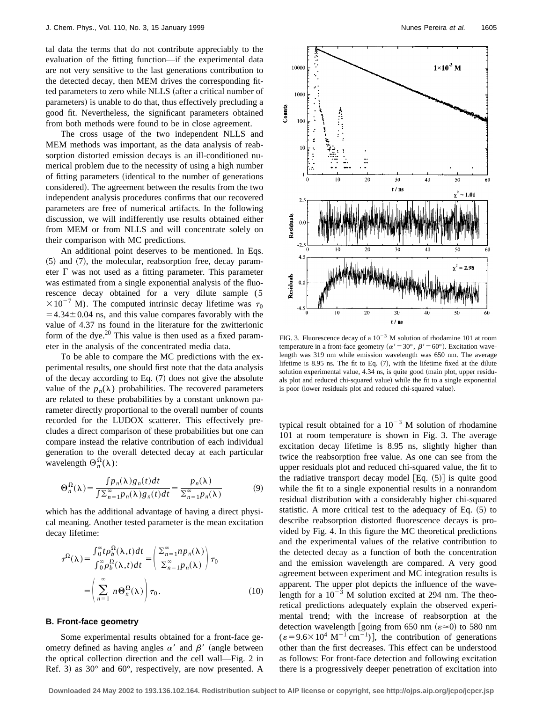tal data the terms that do not contribute appreciably to the evaluation of the fitting function—if the experimental data are not very sensitive to the last generations contribution to the detected decay, then MEM drives the corresponding fitted parameters to zero while NLLS (after a critical number of parameters) is unable to do that, thus effectively precluding a good fit. Nevertheless, the significant parameters obtained from both methods were found to be in close agreement.

The cross usage of the two independent NLLS and MEM methods was important, as the data analysis of reabsorption distorted emission decays is an ill-conditioned numerical problem due to the necessity of using a high number of fitting parameters (identical to the number of generations considered). The agreement between the results from the two independent analysis procedures confirms that our recovered parameters are free of numerical artifacts. In the following discussion, we will indifferently use results obtained either from MEM or from NLLS and will concentrate solely on their comparison with MC predictions.

An additional point deserves to be mentioned. In Eqs.  $(5)$  and  $(7)$ , the molecular, reabsorption free, decay parameter  $\Gamma$  was not used as a fitting parameter. This parameter was estimated from a single exponential analysis of the fluorescence decay obtained for a very dilute sample (5  $\times 10^{-7}$  M). The computed intrinsic decay lifetime was  $\tau_0$  $=4.34\pm0.04$  ns, and this value compares favorably with the value of 4.37 ns found in the literature for the zwitterionic form of the dye. $^{20}$  This value is then used as a fixed parameter in the analysis of the concentrated media data.

To be able to compare the MC predictions with the experimental results, one should first note that the data analysis of the decay according to Eq.  $(7)$  does not give the absolute value of the  $p_n(\lambda)$  probabilities. The recovered parameters are related to these probabilities by a constant unknown parameter directly proportional to the overall number of counts recorded for the LUDOX scatterer. This effectively precludes a direct comparison of these probabilities but one can compare instead the relative contribution of each individual generation to the overall detected decay at each particular wavelength  $\Theta_n^{\Omega}(\lambda)$ :

$$
\Theta_n^{\Omega}(\lambda) = \frac{\int p_n(\lambda) g_n(t) dt}{\int \sum_{n=1}^{\infty} p_n(\lambda) g_n(t) dt} = \frac{p_n(\lambda)}{\sum_{n=1}^{\infty} p_n(\lambda)}
$$
(9)

which has the additional advantage of having a direct physical meaning. Another tested parameter is the mean excitation decay lifetime:

$$
\tau^{\Omega}(\lambda) = \frac{\int_0^{\infty} t \rho_b^{\Omega}(\lambda, t) dt}{\int_0^{\infty} \rho_b^{\Omega}(\lambda, t) dt} = \left(\frac{\sum_{n=1}^{\infty} n p_n(\lambda)}{\sum_{n=1}^{\infty} p_n(\lambda)}\right) \tau_0
$$

$$
= \left(\sum_{n=1}^{\infty} n \Theta_n^{\Omega}(\lambda)\right) \tau_0.
$$
(10)

#### **B. Front-face geometry**

Some experimental results obtained for a front-face geometry defined as having angles  $\alpha'$  and  $\beta'$  (angle between the optical collection direction and the cell wall—Fig. 2 in Ref. 3) as  $30^{\circ}$  and  $60^{\circ}$ , respectively, are now presented. A



FIG. 3. Fluorescence decay of a  $10^{-3}$  M solution of rhodamine 101 at room temperature in a front-face geometry ( $\alpha' = 30^{\circ}$ ,  $\beta' = 60^{\circ}$ ). Excitation wavelength was 319 nm while emission wavelength was 650 nm. The average lifetime is 8.95 ns. The fit to Eq.  $(7)$ , with the lifetime fixed at the dilute solution experimental value,  $4.34$  ns, is quite good (main plot, upper residuals plot and reduced chi-squared value) while the fit to a single exponential is poor (lower residuals plot and reduced chi-squared value).

typical result obtained for a  $10^{-3}$  M solution of rhodamine 101 at room temperature is shown in Fig. 3. The average excitation decay lifetime is 8.95 ns, slightly higher than twice the reabsorption free value. As one can see from the upper residuals plot and reduced chi-squared value, the fit to the radiative transport decay model  $[Eq. (5)]$  is quite good while the fit to a single exponential results in a nonrandom residual distribution with a considerably higher chi-squared statistic. A more critical test to the adequacy of Eq.  $(5)$  to describe reabsorption distorted fluorescence decays is provided by Fig. 4. In this figure the MC theoretical predictions and the experimental values of the relative contribution to the detected decay as a function of both the concentration and the emission wavelength are compared. A very good agreement between experiment and MC integration results is apparent. The upper plot depicts the influence of the wavelength for a  $10^{-3}$  M solution excited at 294 nm. The theoretical predictions adequately explain the observed experimental trend; with the increase of reabsorption at the detection wavelength [going from 650 nm ( $\varepsilon \approx 0$ ) to 580 nm  $(\epsilon = 9.6 \times 10^4 \text{ M}^{-1} \text{ cm}^{-1})$ , the contribution of generations other than the first decreases. This effect can be understood as follows: For front-face detection and following excitation there is a progressively deeper penetration of excitation into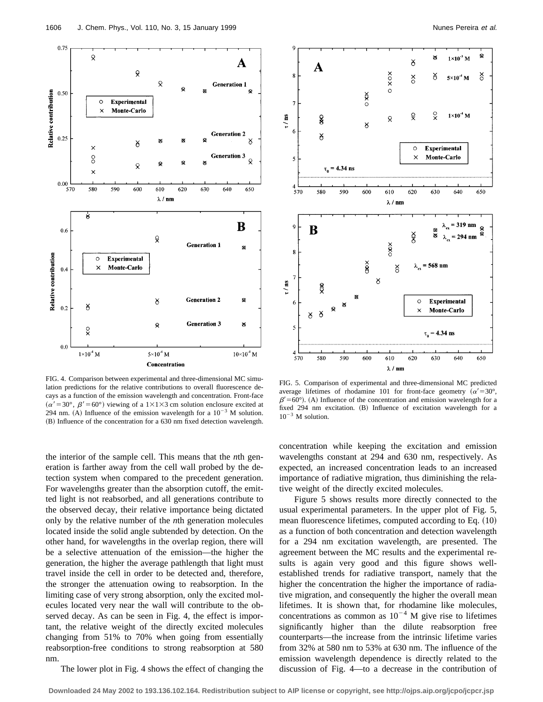

FIG. 4. Comparison between experimental and three-dimensional MC simulation predictions for the relative contributions to overall fluorescence decays as a function of the emission wavelength and concentration. Front-face  $(\alpha' = 30^{\circ}, \beta' = 60^{\circ})$  viewing of a  $1 \times 1 \times 3$  cm solution enclosure excited at 294 nm. (A) Influence of the emission wavelength for a  $10^{-3}$  M solution. (B) Influence of the concentration for a 630 nm fixed detection wavelength.

the interior of the sample cell. This means that the *n*th generation is farther away from the cell wall probed by the detection system when compared to the precedent generation. For wavelengths greater than the absorption cutoff, the emitted light is not reabsorbed, and all generations contribute to the observed decay, their relative importance being dictated only by the relative number of the *n*th generation molecules located inside the solid angle subtended by detection. On the other hand, for wavelengths in the overlap region, there will be a selective attenuation of the emission—the higher the generation, the higher the average pathlength that light must travel inside the cell in order to be detected and, therefore, the stronger the attenuation owing to reabsorption. In the limiting case of very strong absorption, only the excited molecules located very near the wall will contribute to the observed decay. As can be seen in Fig. 4, the effect is important, the relative weight of the directly excited molecules changing from 51% to 70% when going from essentially reabsorption-free conditions to strong reabsorption at 580 nm.

The lower plot in Fig. 4 shows the effect of changing the



FIG. 5. Comparison of experimental and three-dimensional MC predicted average lifetimes of rhodamine 101 for front-face geometry  $(\alpha' = 30^{\circ})$ ,  $\beta'$ =60°). (A) Influence of the concentration and emission wavelength for a fixed  $294$  nm excitation.  $(B)$  Influence of excitation wavelength for a  $10^{-3}$  M solution.

concentration while keeping the excitation and emission wavelengths constant at 294 and 630 nm, respectively. As expected, an increased concentration leads to an increased importance of radiative migration, thus diminishing the relative weight of the directly excited molecules.

Figure 5 shows results more directly connected to the usual experimental parameters. In the upper plot of Fig. 5, mean fluorescence lifetimes, computed according to Eq.  $(10)$ as a function of both concentration and detection wavelength for a 294 nm excitation wavelength, are presented. The agreement between the MC results and the experimental results is again very good and this figure shows wellestablished trends for radiative transport, namely that the higher the concentration the higher the importance of radiative migration, and consequently the higher the overall mean lifetimes. It is shown that, for rhodamine like molecules, concentrations as common as  $10^{-4}$  M give rise to lifetimes significantly higher than the dilute reabsorption free counterparts—the increase from the intrinsic lifetime varies from 32% at 580 nm to 53% at 630 nm. The influence of the emission wavelength dependence is directly related to the discussion of Fig. 4—to a decrease in the contribution of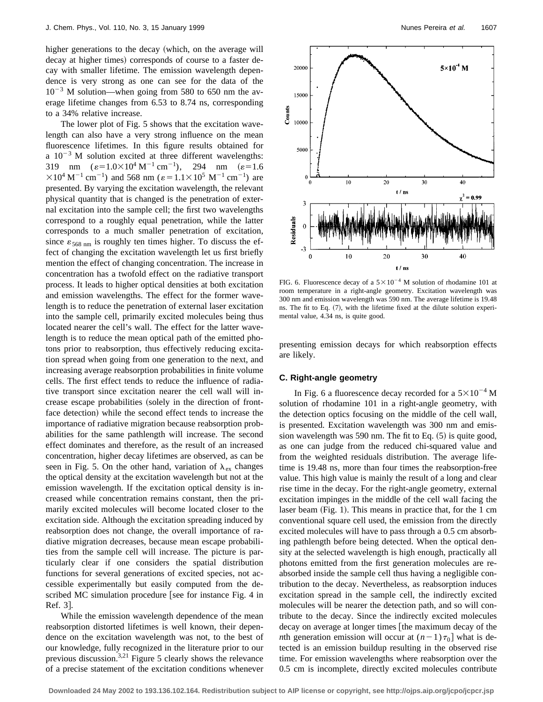higher generations to the decay (which, on the average will decay at higher times) corresponds of course to a faster decay with smaller lifetime. The emission wavelength dependence is very strong as one can see for the data of the  $10^{-3}$  M solution—when going from 580 to 650 nm the average lifetime changes from 6.53 to 8.74 ns, corresponding to a 34% relative increase.

The lower plot of Fig. 5 shows that the excitation wavelength can also have a very strong influence on the mean fluorescence lifetimes. In this figure results obtained for a  $10^{-3}$  M solution excited at three different wavelengths: 319 nm  $(\varepsilon = 1.0 \times 10^4 \text{ M}^{-1} \text{ cm}^{-1})$ , 294 nm  $(\varepsilon = 1.6$  $\times 10^4$  M<sup>-1</sup> cm<sup>-1</sup>) and 568 nm ( $\varepsilon$  = 1.1 $\times 10^5$  M<sup>-1</sup> cm<sup>-1</sup>) are presented. By varying the excitation wavelength, the relevant physical quantity that is changed is the penetration of external excitation into the sample cell; the first two wavelengths correspond to a roughly equal penetration, while the latter corresponds to a much smaller penetration of excitation, since  $\varepsilon_{568 \text{ nm}}$  is roughly ten times higher. To discuss the effect of changing the excitation wavelength let us first briefly mention the effect of changing concentration. The increase in concentration has a twofold effect on the radiative transport process. It leads to higher optical densities at both excitation and emission wavelengths. The effect for the former wavelength is to reduce the penetration of external laser excitation into the sample cell, primarily excited molecules being thus located nearer the cell's wall. The effect for the latter wavelength is to reduce the mean optical path of the emitted photons prior to reabsorption, thus effectively reducing excitation spread when going from one generation to the next, and increasing average reabsorption probabilities in finite volume cells. The first effect tends to reduce the influence of radiative transport since excitation nearer the cell wall will increase escape probabilities (solely in the direction of frontface detection) while the second effect tends to increase the importance of radiative migration because reabsorption probabilities for the same pathlength will increase. The second effect dominates and therefore, as the result of an increased concentration, higher decay lifetimes are observed, as can be seen in Fig. 5. On the other hand, variation of  $\lambda_{ex}$  changes the optical density at the excitation wavelength but not at the emission wavelength. If the excitation optical density is increased while concentration remains constant, then the primarily excited molecules will become located closer to the excitation side. Although the excitation spreading induced by reabsorption does not change, the overall importance of radiative migration decreases, because mean escape probabilities from the sample cell will increase. The picture is particularly clear if one considers the spatial distribution functions for several generations of excited species, not accessible experimentally but easily computed from the described MC simulation procedure [see for instance Fig. 4 in Ref. 3.

While the emission wavelength dependence of the mean reabsorption distorted lifetimes is well known, their dependence on the excitation wavelength was not, to the best of our knowledge, fully recognized in the literature prior to our previous discussion.3,21 Figure 5 clearly shows the relevance of a precise statement of the excitation conditions whenever



FIG. 6. Fluorescence decay of a  $5 \times 10^{-4}$  M solution of rhodamine 101 at room temperature in a right-angle geometry. Excitation wavelength was 300 nm and emission wavelength was 590 nm. The average lifetime is 19.48 ns. The fit to Eq.  $(7)$ , with the lifetime fixed at the dilute solution experimental value, 4.34 ns, is quite good.

presenting emission decays for which reabsorption effects are likely.

#### **C. Right-angle geometry**

In Fig. 6 a fluorescence decay recorded for a  $5\times10^{-4}$  M solution of rhodamine 101 in a right-angle geometry, with the detection optics focusing on the middle of the cell wall, is presented. Excitation wavelength was 300 nm and emission wavelength was 590 nm. The fit to Eq.  $(5)$  is quite good, as one can judge from the reduced chi-squared value and from the weighted residuals distribution. The average lifetime is 19.48 ns, more than four times the reabsorption-free value. This high value is mainly the result of a long and clear rise time in the decay. For the right-angle geometry, external excitation impinges in the middle of the cell wall facing the laser beam  $(Fig. 1)$ . This means in practice that, for the 1 cm conventional square cell used, the emission from the directly excited molecules will have to pass through a 0.5 cm absorbing pathlength before being detected. When the optical density at the selected wavelength is high enough, practically all photons emitted from the first generation molecules are reabsorbed inside the sample cell thus having a negligible contribution to the decay. Nevertheless, as reabsorption induces excitation spread in the sample cell, the indirectly excited molecules will be nearer the detection path, and so will contribute to the decay. Since the indirectly excited molecules decay on average at longer times [the maximum decay of the *n*th generation emission will occur at  $(n-1)\tau_0$  what is detected is an emission buildup resulting in the observed rise time. For emission wavelengths where reabsorption over the 0.5 cm is incomplete, directly excited molecules contribute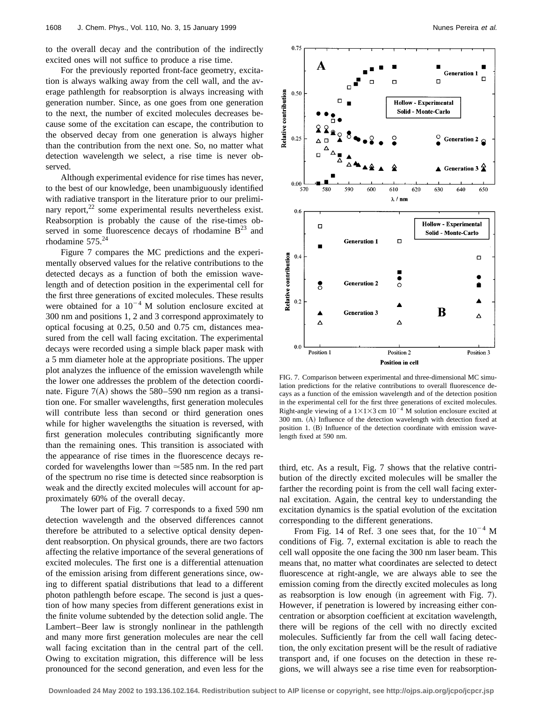to the overall decay and the contribution of the indirectly excited ones will not suffice to produce a rise time.

For the previously reported front-face geometry, excitation is always walking away from the cell wall, and the average pathlength for reabsorption is always increasing with generation number. Since, as one goes from one generation to the next, the number of excited molecules decreases because some of the excitation can escape, the contribution to the observed decay from one generation is always higher than the contribution from the next one. So, no matter what detection wavelength we select, a rise time is never observed.

Although experimental evidence for rise times has never, to the best of our knowledge, been unambiguously identified with radiative transport in the literature prior to our preliminary report, $22$  some experimental results nevertheless exist. Reabsorption is probably the cause of the rise-times observed in some fluorescence decays of rhodamine  $B^{23}$  and rhodamine  $575.^{24}$ 

Figure 7 compares the MC predictions and the experimentally observed values for the relative contributions to the detected decays as a function of both the emission wavelength and of detection position in the experimental cell for the first three generations of excited molecules. These results were obtained for a  $10^{-4}$  M solution enclosure excited at 300 nm and positions 1, 2 and 3 correspond approximately to optical focusing at 0.25, 0.50 and 0.75 cm, distances measured from the cell wall facing excitation. The experimental decays were recorded using a simple black paper mask with a 5 mm diameter hole at the appropriate positions. The upper plot analyzes the influence of the emission wavelength while the lower one addresses the problem of the detection coordinate. Figure  $7(A)$  shows the 580–590 nm region as a transition one. For smaller wavelengths, first generation molecules will contribute less than second or third generation ones while for higher wavelengths the situation is reversed, with first generation molecules contributing significantly more than the remaining ones. This transition is associated with the appearance of rise times in the fluorescence decays recorded for wavelengths lower than  $\simeq$  585 nm. In the red part of the spectrum no rise time is detected since reabsorption is weak and the directly excited molecules will account for approximately 60% of the overall decay.

The lower part of Fig. 7 corresponds to a fixed 590 nm detection wavelength and the observed differences cannot therefore be attributed to a selective optical density dependent reabsorption. On physical grounds, there are two factors affecting the relative importance of the several generations of excited molecules. The first one is a differential attenuation of the emission arising from different generations since, owing to different spatial distributions that lead to a different photon pathlength before escape. The second is just a question of how many species from different generations exist in the finite volume subtended by the detection solid angle. The Lambert–Beer law is strongly nonlinear in the pathlength and many more first generation molecules are near the cell wall facing excitation than in the central part of the cell. Owing to excitation migration, this difference will be less pronounced for the second generation, and even less for the



FIG. 7. Comparison between experimental and three-dimensional MC simulation predictions for the relative contributions to overall fluorescence decays as a function of the emission wavelength and of the detection position in the experimental cell for the first three generations of excited molecules. Right-angle viewing of a  $1\times1\times3$  cm  $10^{-4}$  M solution enclosure excited at 300 nm. (A) Influence of the detection wavelength with detection fixed at position 1. (B) Influence of the detection coordinate with emission wavelength fixed at 590 nm.

third, etc. As a result, Fig. 7 shows that the relative contribution of the directly excited molecules will be smaller the farther the recording point is from the cell wall facing external excitation. Again, the central key to understanding the excitation dynamics is the spatial evolution of the excitation corresponding to the different generations.

From Fig. 14 of Ref. 3 one sees that, for the  $10^{-4}$  M conditions of Fig. 7, external excitation is able to reach the cell wall opposite the one facing the 300 nm laser beam. This means that, no matter what coordinates are selected to detect fluorescence at right-angle, we are always able to see the emission coming from the directly excited molecules as long as reabsorption is low enough (in agreement with Fig.  $7$ ). However, if penetration is lowered by increasing either concentration or absorption coefficient at excitation wavelength, there will be regions of the cell with no directly excited molecules. Sufficiently far from the cell wall facing detection, the only excitation present will be the result of radiative transport and, if one focuses on the detection in these regions, we will always see a rise time even for reabsorption-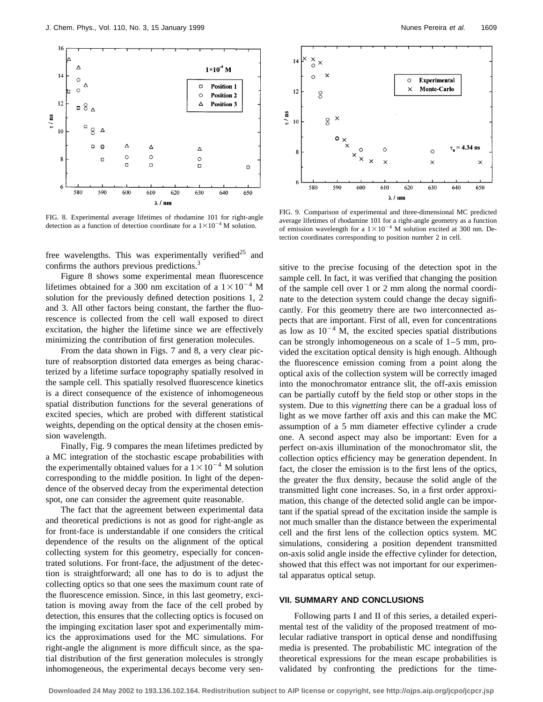

FIG. 8. Experimental average lifetimes of rhodamine 101 for right-angle detection as a function of detection coordinate for a  $1\times10^{-4}$  M solution.

free wavelengths. This was experimentally verified<sup>25</sup> and confirms the authors previous predictions.<sup>3</sup>

Figure 8 shows some experimental mean fluorescence lifetimes obtained for a 300 nm excitation of a  $1 \times 10^{-4}$  M solution for the previously defined detection positions 1, 2 and 3. All other factors being constant, the farther the fluorescence is collected from the cell wall exposed to direct excitation, the higher the lifetime since we are effectively minimizing the contribution of first generation molecules.

From the data shown in Figs. 7 and 8, a very clear picture of reabsorption distorted data emerges as being characterized by a lifetime surface topography spatially resolved in the sample cell. This spatially resolved fluorescence kinetics is a direct consequence of the existence of inhomogeneous spatial distribution functions for the several generations of excited species, which are probed with different statistical weights, depending on the optical density at the chosen emission wavelength.

Finally, Fig. 9 compares the mean lifetimes predicted by a MC integration of the stochastic escape probabilities with the experimentally obtained values for a  $1 \times 10^{-4}$  M solution corresponding to the middle position. In light of the dependence of the observed decay from the experimental detection spot, one can consider the agreement quite reasonable.

The fact that the agreement between experimental data and theoretical predictions is not as good for right-angle as for front-face is understandable if one considers the critical dependence of the results on the alignment of the optical collecting system for this geometry, especially for concentrated solutions. For front-face, the adjustment of the detection is straightforward; all one has to do is to adjust the collecting optics so that one sees the maximum count rate of the fluorescence emission. Since, in this last geometry, excitation is moving away from the face of the cell probed by detection, this ensures that the collecting optics is focused on the impinging excitation laser spot and experimentally mimics the approximations used for the MC simulations. For right-angle the alignment is more difficult since, as the spatial distribution of the first generation molecules is strongly inhomogeneous, the experimental decays become very sen-



FIG. 9. Comparison of experimental and three-dimensional MC predicted average lifetimes of rhodamine 101 for a right-angle geometry as a function of emission wavelength for a  $1\times10^{-4}$  M solution excited at 300 nm. Detection coordinates corresponding to position number 2 in cell.

sitive to the precise focusing of the detection spot in the sample cell. In fact, it was verified that changing the position of the sample cell over 1 or 2 mm along the normal coordinate to the detection system could change the decay significantly. For this geometry there are two interconnected aspects that are important. First of all, even for concentrations as low as  $10^{-4}$  M, the excited species spatial distributions can be strongly inhomogeneous on a scale of 1–5 mm, provided the excitation optical density is high enough. Although the fluorescence emission coming from a point along the optical axis of the collection system will be correctly imaged into the monochromator entrance slit, the off-axis emission can be partially cutoff by the field stop or other stops in the system. Due to this *vignetting* there can be a gradual loss of light as we move farther off axis and this can make the MC assumption of a 5 mm diameter effective cylinder a crude one. A second aspect may also be important: Even for a perfect on-axis illumination of the monochromator slit, the collection optics efficiency may be generation dependent. In fact, the closer the emission is to the first lens of the optics, the greater the flux density, because the solid angle of the transmitted light cone increases. So, in a first order approximation, this change of the detected solid angle can be important if the spatial spread of the excitation inside the sample is not much smaller than the distance between the experimental cell and the first lens of the collection optics system. MC simulations, considering a position dependent transmitted on-axis solid angle inside the effective cylinder for detection, showed that this effect was not important for our experimental apparatus optical setup.

## **VII. SUMMARY AND CONCLUSIONS**

Following parts I and II of this series, a detailed experimental test of the validity of the proposed treatment of molecular radiative transport in optical dense and nondiffusing media is presented. The probabilistic MC integration of the theoretical expressions for the mean escape probabilities is validated by confronting the predictions for the time